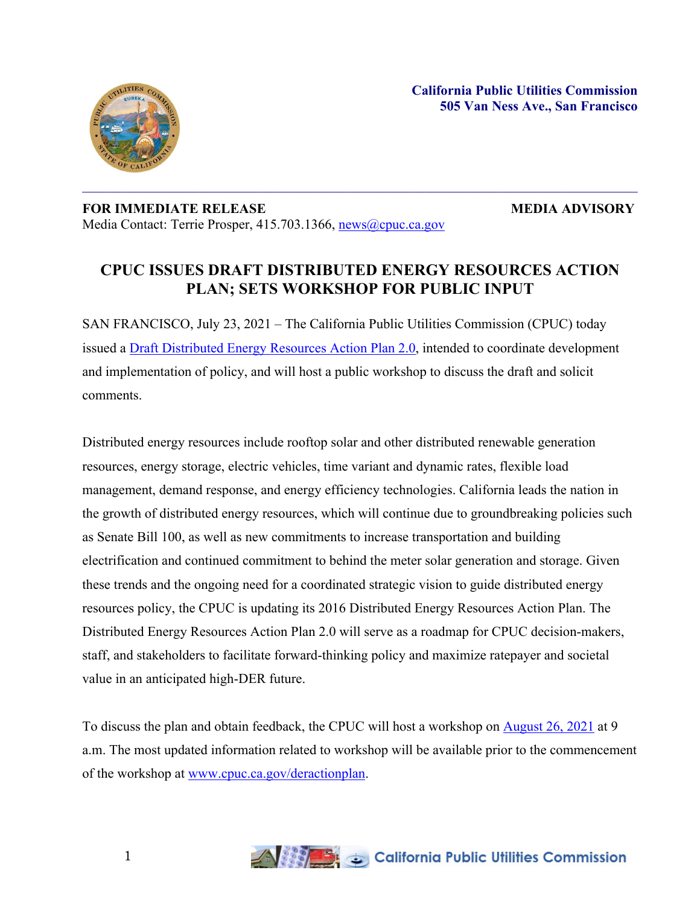

## **FOR IMMEDIATE RELEASE MEDIA ADVISORY** Media Contact: Terrie Prosper, 415.703.1366, [news@cpuc.ca.gov](mailto:news@cpuc.ca.gov)

## **CPUC ISSUES DRAFT DISTRIBUTED ENERGY RESOURCES ACTION PLAN; SETS WORKSHOP FOR PUBLIC INPUT**

SAN FRANCISCO, July 23, 2021 – The California Public Utilities Commission (CPUC) today issued a Draft [Distributed](https://www.cpuc.ca.gov/-/media/cpuc-website/divisions/energy-division/documents/distributed-energy-resources-action-plan/draft-der-action-plan-20-public.pdf) Energy Resources Action Plan 2.0, intended to coordinate development and implementation of policy, and will host a public workshop to discuss the draft and solicit comments.

Distributed energy resources include rooftop solar and other distributed renewable generation resources, energy storage, electric vehicles, time variant and dynamic rates, flexible load management, demand response, and energy efficiency technologies. California leads the nation in the growth of distributed energy resources, which will continue due to groundbreaking policies such as Senate Bill 100, as well as new commitments to increase transportation and building electrification and continued commitment to behind the meter solar generation and storage. Given these trends and the ongoing need for a coordinated strategic vision to guide distributed energy resources policy, the CPUC is updating its 2016 Distributed Energy Resources Action Plan. The Distributed Energy Resources Action Plan 2.0 will serve as a roadmap for CPUC decision-makers, staff, and stakeholders to facilitate forward-thinking policy and maximize ratepayer and societal value in an anticipated high-DER future.

To discuss the plan and obtain feedback, the CPUC will host a workshop on [August](https://www.cpuc.ca.gov/events-and-meetings/draft-der-action-plan-2-workshop) 26, 2021 at 9 a.m. The most updated information related to workshop will be available prior to the commencement of the workshop at [www.cpuc.ca.gov/deractionplan.](http://www.cpuc.ca.gov/deractionplan)